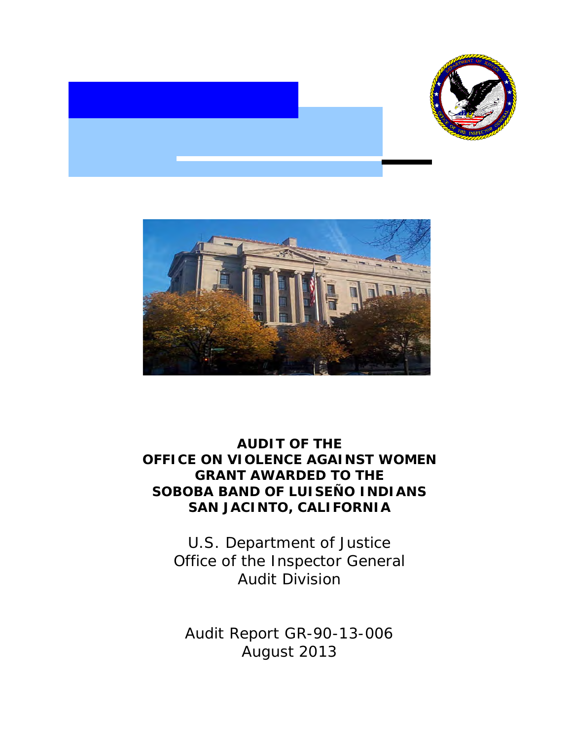



# **OFFICE ON VIOLENCE AGAINST WOMEN AUDIT OF THE GRANT AWARDED TO THE SOBOBA BAND OF LUISEÑO INDIANS SAN JACINTO, CALIFORNIA**

 Office of the Inspector General U.S. Department of Justice Audit Division

 Audit Report GR-90-13-006 August 2013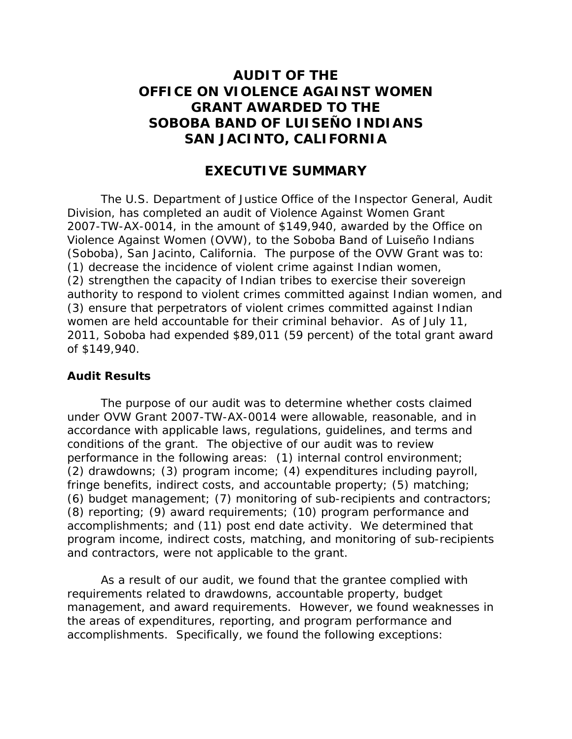# **OFFICE ON VIOLENCE AGAINST WOMEN AUDIT OF THE GRANT AWARDED TO THE SOBOBA BAND OF LUISEÑO INDIANS SAN JACINTO, CALIFORNIA**

### **EXECUTIVE SUMMARY**

 (Soboba), San Jacinto, California. The purpose of the OVW Grant was to: women are held accountable for their criminal behavior. As of July 11, 2011, Soboba had expended \$89,011 (59 percent) of the total grant award The U.S. Department of Justice Office of the Inspector General, Audit Division, has completed an audit of Violence Against Women Grant 2007-TW-AX-0014, in the amount of \$149,940, awarded by the Office on Violence Against Women (OVW), to the Soboba Band of Luiseño Indians (1) decrease the incidence of violent crime against Indian women, (2) strengthen the capacity of Indian tribes to exercise their sovereign authority to respond to violent crimes committed against Indian women, and (3) ensure that perpetrators of violent crimes committed against Indian of \$149,940.

#### **Audit Results**

 conditions of the grant. The objective of our audit was to review performance in the following areas: (1) internal control environment; program income, indirect costs, matching, and monitoring of sub-recipients and contractors, were not applicable to the grant. The purpose of our audit was to determine whether costs claimed under OVW Grant 2007-TW-AX-0014 were allowable, reasonable, and in accordance with applicable laws, regulations, guidelines, and terms and (2) drawdowns; (3) program income; (4) expenditures including payroll, fringe benefits, indirect costs, and accountable property; (5) matching; (6) budget management; (7) monitoring of sub-recipients and contractors; (8) reporting; (9) award requirements; (10) program performance and accomplishments; and (11) post end date activity. We determined that

 accomplishments. Specifically, we found the following exceptions: As a result of our audit, we found that the grantee complied with requirements related to drawdowns, accountable property, budget management, and award requirements. However, we found weaknesses in the areas of expenditures, reporting, and program performance and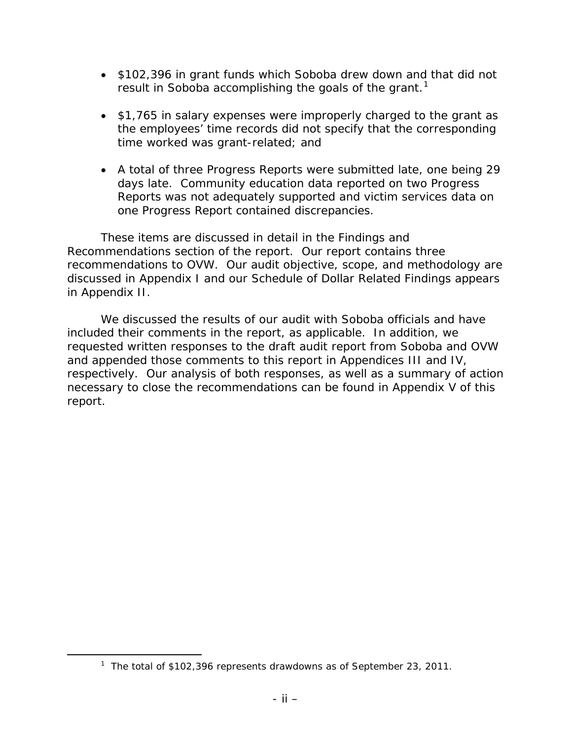- \$102,396 in grant funds which Soboba drew down and that did not result in Soboba accomplishing the goals of the grant.<sup>1</sup>
- \$1,765 in salary expenses were improperly charged to the grant as time worked was grant-related; and the employees' time records did not specify that the corresponding
- A total of three Progress Reports were submitted late, one being 29 days late. Community education data reported on two Progress Reports was not adequately supported and victim services data on one Progress Report contained discrepancies.

 Recommendations section of the report. Our report contains three recommendations to OVW*.* Our audit objective, scope, and methodology are discussed in Appendix I and our Schedule of Dollar Related Findings appears in Appendix II. These items are discussed in detail in the Findings and

 included their comments in the report, as applicable. In addition, we and appended those comments to this report in Appendices III and IV, necessary to close the recommendations can be found in Appendix V of this We discussed the results of our audit with Soboba officials and have requested written responses to the draft audit report from Soboba and OVW respectively. Our analysis of both responses, as well as a summary of action report.

<span id="page-2-0"></span> $\overline{a}$ 

<sup>&</sup>lt;sup>1</sup> The total of \$102,396 represents drawdowns as of September 23, 2011.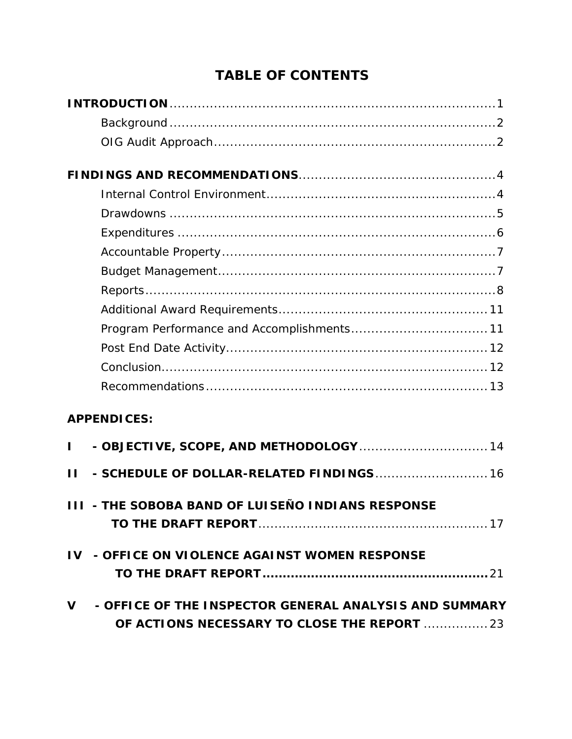# **TABLE OF CONTENTS**

| <b>APPENDICES:</b>                       |  |
|------------------------------------------|--|
| - OBJECTIVE, SCOPE, AND METHODOLOGY  14  |  |
| - SCHEDULE OF DOLLAR-RELATED FINDINGS 16 |  |

|  | <b>III - THE SOBOBA BAND OF LUISEÑO INDIANS RESPONSE</b> |  |
|--|----------------------------------------------------------|--|
|  |                                                          |  |

- **IV - OFFICE ON VIOLENCE AGAINST WOMEN RESPONSE TO THE DRAFT REPORT........................................................**21
- **V - OFFICE OF THE INSPECTOR GENERAL ANALYSIS AND SUMMARY OF ACTIONS [NECESSARY TO CLOSE THE REPORT](#page-26-0)** ................23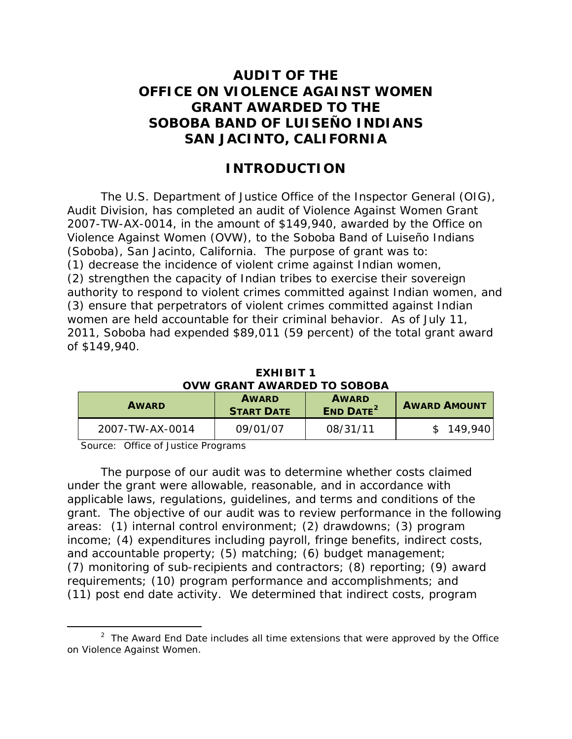# **AUDIT OF THE OFFICE ON VIOLENCE AGAINST WOMEN GRANT AWARDED TO THE SOBOBA BAND OF LUISEÑO INDIANS SAN JACINTO, CALIFORNIA**

## **INTRODUCTION**

<span id="page-4-0"></span> women are held accountable for their criminal behavior. As of July 11, The U.S. Department of Justice Office of the Inspector General (OIG), Audit Division, has completed an audit of Violence Against Women Grant 2007-TW-AX-0014, in the amount of \$149,940, awarded by the Office on Violence Against Women (OVW), to the Soboba Band of Luiseño Indians (Soboba), San Jacinto, California. The purpose of grant was to: (1) decrease the incidence of violent crime against Indian women, (2) strengthen the capacity of Indian tribes to exercise their sovereign authority to respond to violent crimes committed against Indian women, and (3) ensure that perpetrators of violent crimes committed against Indian 2011, Soboba had expended \$89,011 (59 percent) of the total grant award of \$149,940.

| EXHIBIT <sub>1</sub>        |
|-----------------------------|
| OVW GRANT AWARDED TO SOBOBA |

| <b>AWARD</b>    | <b>AWARD</b><br><b>START DATE</b> | <b>AWARD</b><br><b>END DATE<sup>2</sup></b> | <b>AWARD AMOUNT</b> |
|-----------------|-----------------------------------|---------------------------------------------|---------------------|
| 2007-TW-AX-0014 | 09/01/07                          | 08/31/11                                    | 149.940             |

Source: Office of Justice Programs

 $\overline{a}$ 

 grant. The objective of our audit was to review performance in the following areas: (1) internal control environment; (2) drawdowns; (3) program (11) post end date activity. We determined that indirect costs, program The purpose of our audit was to determine whether costs claimed under the grant were allowable, reasonable, and in accordance with applicable laws, regulations, guidelines, and terms and conditions of the income; (4) expenditures including payroll, fringe benefits, indirect costs, and accountable property; (5) matching; (6) budget management; (7) monitoring of sub-recipients and contractors; (8) reporting; (9) award requirements; (10) program performance and accomplishments; and

<span id="page-4-1"></span> $2$  The Award End Date includes all time extensions that were approved by the Office on Violence Against Women.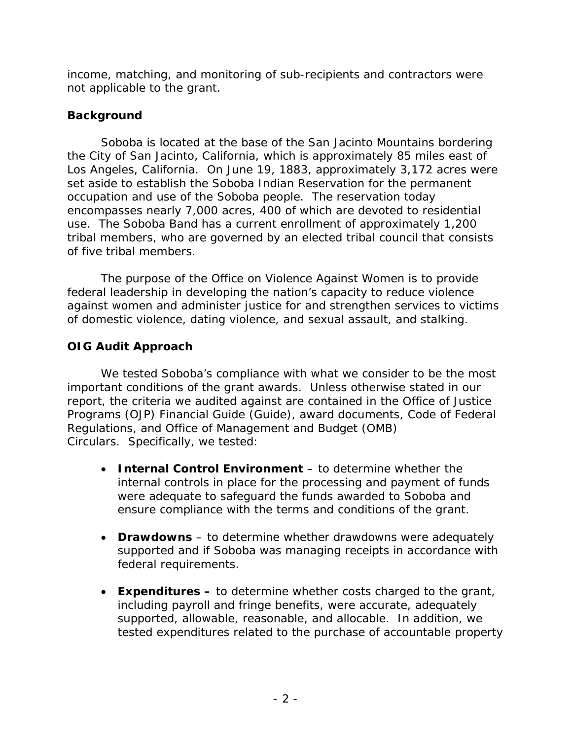income, matching, and monitoring of sub-recipients and contractors were not applicable to the grant.

## <span id="page-5-0"></span>**Background**

 the City of San Jacinto, California, which is approximately 85 miles east of of five tribal members. Soboba is located at the base of the San Jacinto Mountains bordering Los Angeles, California. On June 19, 1883, approximately 3,172 acres were set aside to establish the Soboba Indian Reservation for the permanent occupation and use of the Soboba people. The reservation today encompasses nearly 7,000 acres, 400 of which are devoted to residential use. The Soboba Band has a current enrollment of approximately 1,200 tribal members, who are governed by an elected tribal council that consists

 of five tribal members. The purpose of the Office on Violence Against Women is to provide federal leadership in developing the nation's capacity to reduce violence against women and administer justice for and strengthen services to victims of domestic violence, dating violence, and sexual assault, and stalking.

# <span id="page-5-1"></span>**OIG Audit Approach**

 important conditions of the grant awards. Unless otherwise stated in our We tested Soboba's compliance with what we consider to be the most report, the criteria we audited against are contained in the Office of Justice Programs (OJP*) Financial Guide* (Guide), award documents, Code of Federal Regulations, and Office of Management and Budget (OMB) Circulars*.* Specifically, we tested:

- were adequate to safeguard the funds awarded to Soboba and ensure compliance with the terms and conditions of the grant. • **Internal Control Environment** – to determine whether the internal controls in place for the processing and payment of funds
- **Drawdowns** to determine whether drawdowns were adequately supported and if Soboba was managing receipts in accordance with federal requirements.
- • **Expenditures** to determine whether costs charged to the grant, including payroll and fringe benefits, were accurate, adequately supported, allowable, reasonable, and allocable. In addition, we tested expenditures related to the purchase of accountable property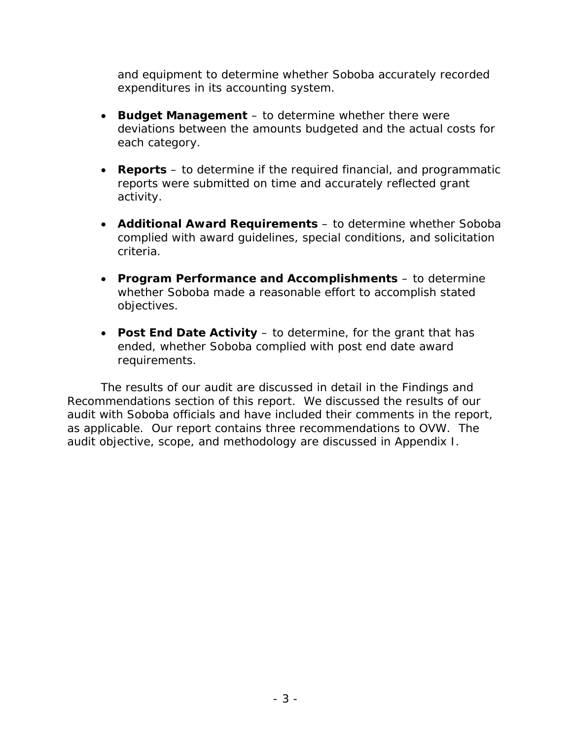and equipment to determine whether Soboba accurately recorded expenditures in its accounting system.

- **Budget Management** to determine whether there were deviations between the amounts budgeted and the actual costs for each category.
- • **Reports**  to determine if the required financial, and programmatic reports were submitted on time and accurately reflected grant activity.
- • **Additional Award Requirements**  to determine whether Soboba complied with award guidelines, special conditions, and solicitation criteria.
- • **Program Performance and Accomplishments**  to determine whether Soboba made a reasonable effort to accomplish stated objectives.
- • **Post End Date Activity**  to determine, for the grant that has ended, whether Soboba complied with post end date award requirements.

 Recommendations section of this report. We discussed the results of our as applicable. Our report contains three recommendations to OVW. The audit objective, scope, and methodology are discussed in Appendix I. The results of our audit are discussed in detail in the Findings and audit with Soboba officials and have included their comments in the report,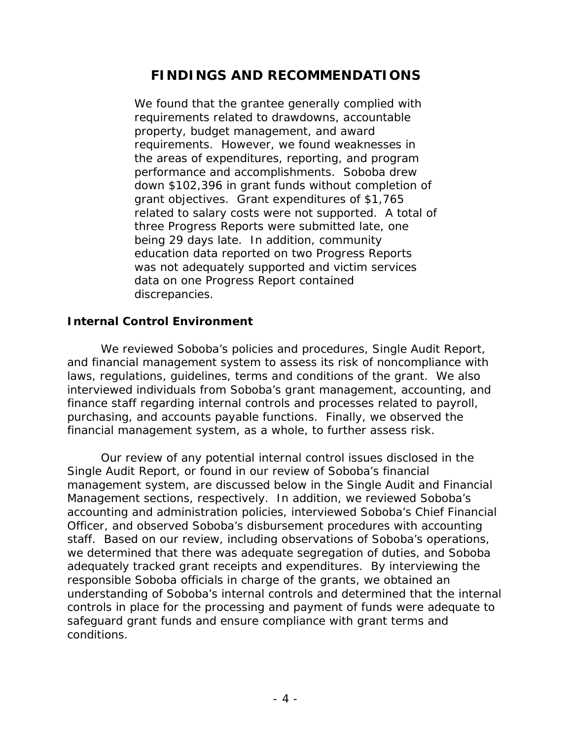# **FINDINGS AND RECOMMENDATIONS**

<span id="page-7-0"></span> grant objectives. Grant expenditures of \$1,765 three Progress Reports were submitted late, one discrepancies. We found that the grantee generally complied with requirements related to drawdowns, accountable property, budget management, and award requirements. However, we found weaknesses in the areas of expenditures, reporting, and program performance and accomplishments. Soboba drew down \$102,396 in grant funds without completion of related to salary costs were not supported. A total of being 29 days late. In addition, community education data reported on two Progress Reports was not adequately supported and victim services data on one Progress Report contained

### <span id="page-7-1"></span> **Internal Control Environment**

 laws, regulations, guidelines, terms and conditions of the grant. We also purchasing, and accounts payable functions. Finally, we observed the financial management system, as a whole, to further assess risk. We reviewed Soboba's policies and procedures, Single Audit Report, and financial management system to assess its risk of noncompliance with interviewed individuals from Soboba's grant management, accounting, and finance staff regarding internal controls and processes related to payroll,

 Management sections, respectively. In addition, we reviewed Soboba's we determined that there was adequate segregation of duties, and Soboba conditions. Our review of any potential internal control issues disclosed in the Single Audit Report, or found in our review of Soboba's financial management system, are discussed below in the Single Audit and Financial accounting and administration policies, interviewed Soboba's Chief Financial Officer, and observed Soboba's disbursement procedures with accounting staff. Based on our review, including observations of Soboba's operations, adequately tracked grant receipts and expenditures. By interviewing the responsible Soboba officials in charge of the grants, we obtained an understanding of Soboba's internal controls and determined that the internal controls in place for the processing and payment of funds were adequate to safeguard grant funds and ensure compliance with grant terms and conditions.<br>- 4 -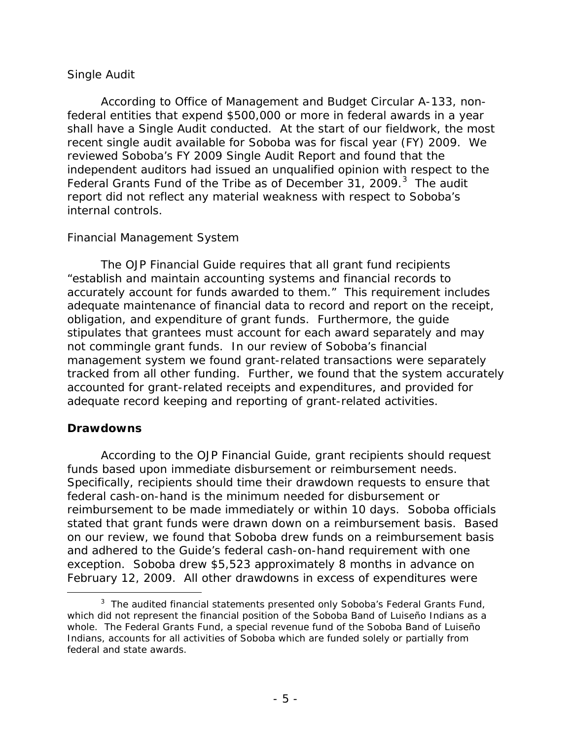### *Single Audit*

 federal entities that expend \$500,000 or more in federal awards in a year reviewed Soboba's FY 2009 Single Audit Report and found that the Federal Grants Fund of the Tribe as of December [3](#page-8-1)1, 2009.<sup>3</sup> The audit According to Office of Management and Budget Circular A-133, nonshall have a Single Audit conducted. At the start of our fieldwork, the most recent single audit available for Soboba was for fiscal year (FY) 2009. We independent auditors had issued an unqualified opinion with respect to the report did not reflect any material weakness with respect to Soboba's internal controls.

## *Financial Management System*

 "establish and maintain accounting systems and financial records to accurately account for funds awarded to them." This requirement includes obligation, and expenditure of grant funds. Furthermore, the guide not commingle grant funds. In our review of Soboba's financial tracked from all other funding. Further, we found that the system accurately The *OJP Financial Guide* requires that all grant fund recipients adequate maintenance of financial data to record and report on the receipt, stipulates that grantees must account for each award separately and may management system we found grant-related transactions were separately accounted for grant-related receipts and expenditures, and provided for adequate record keeping and reporting of grant-related activities.

## <span id="page-8-0"></span>**Drawdowns**

 According to the *OJP Financial Guide*, grant recipients should request funds based upon immediate disbursement or reimbursement needs. funds based upon immediate disbursement or reimbursement needs.<br>Specifically, recipients should time their drawdown requests to ensure that reimbursement to be made immediately or within 10 days. Soboba officials and adhered to the Guide's federal cash-on-hand requirement with one federal cash-on-hand is the minimum needed for disbursement or stated that grant funds were drawn down on a reimbursement basis. Based on our review, we found that Soboba drew funds on a reimbursement basis exception. Soboba drew \$5,523 approximately 8 months in advance on February 12, 2009. All other drawdowns in excess of expenditures were

<span id="page-8-1"></span>Ì,  $3$  The audited financial statements presented only Soboba's Federal Grants Fund, which did not represent the financial position of the Soboba Band of Luiseño Indians as a whole. The Federal Grants Fund, a special revenue fund of the Soboba Band of Luiseño Indians, accounts for all activities of Soboba which are funded solely or partially from federal and state awards.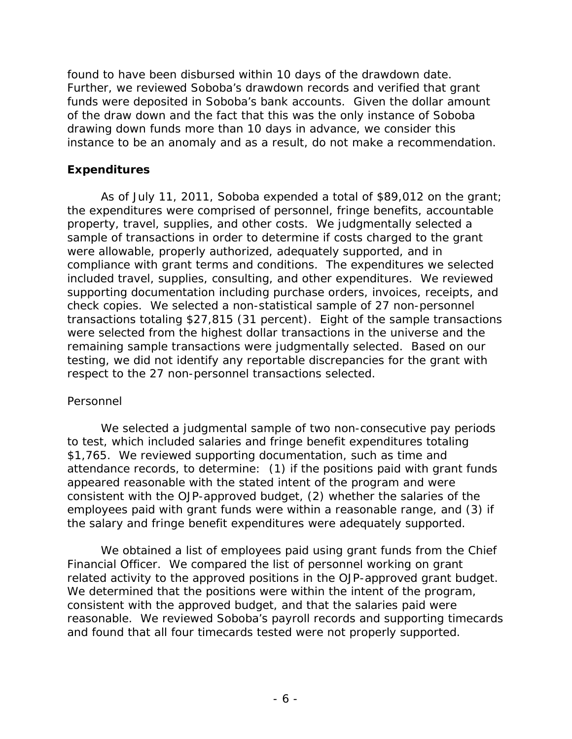funds were deposited in Soboba's bank accounts. Given the dollar amount found to have been disbursed within 10 days of the drawdown date. Further, we reviewed Soboba's drawdown records and verified that grant of the draw down and the fact that this was the only instance of Soboba drawing down funds more than 10 days in advance, we consider this instance to be an anomaly and as a result, do not make a recommendation.

## <span id="page-9-0"></span> **Expenditures**

 As of July 11, 2011, Soboba expended a total of \$89,012 on the grant; property, travel, supplies, and other costs. We judgmentally selected a included travel, supplies, consulting, and other expenditures. We reviewed check copies. We selected a non-statistical sample of 27 non-personnel transactions totaling \$27,815 (31 percent). Eight of the sample transactions testing, we did not identify any reportable discrepancies for the grant with the expenditures were comprised of personnel, fringe benefits, accountable sample of transactions in order to determine if costs charged to the grant were allowable, properly authorized, adequately supported, and in compliance with grant terms and conditions. The expenditures we selected supporting documentation including purchase orders, invoices, receipts, and were selected from the highest dollar transactions in the universe and the remaining sample transactions were judgmentally selected. Based on our respect to the 27 non-personnel transactions selected.

## *Personnel*

the salary and fringe benefit expenditures were adequately supported. We selected a judgmental sample of two non-consecutive pay periods to test, which included salaries and fringe benefit expenditures totaling \$1,765. We reviewed supporting documentation, such as time and attendance records, to determine: (1) if the positions paid with grant funds appeared reasonable with the stated intent of the program and were consistent with the OJP-approved budget, (2) whether the salaries of the employees paid with grant funds were within a reasonable range, and (3) if

 Financial Officer. We compared the list of personnel working on grant related activity to the approved positions in the OJP-approved grant budget. reasonable. We reviewed Soboba's payroll records and supporting timecards and found that all four timecards tested were not properly supported.<br>
- 6 -We obtained a list of employees paid using grant funds from the Chief We determined that the positions were within the intent of the program, consistent with the approved budget, and that the salaries paid were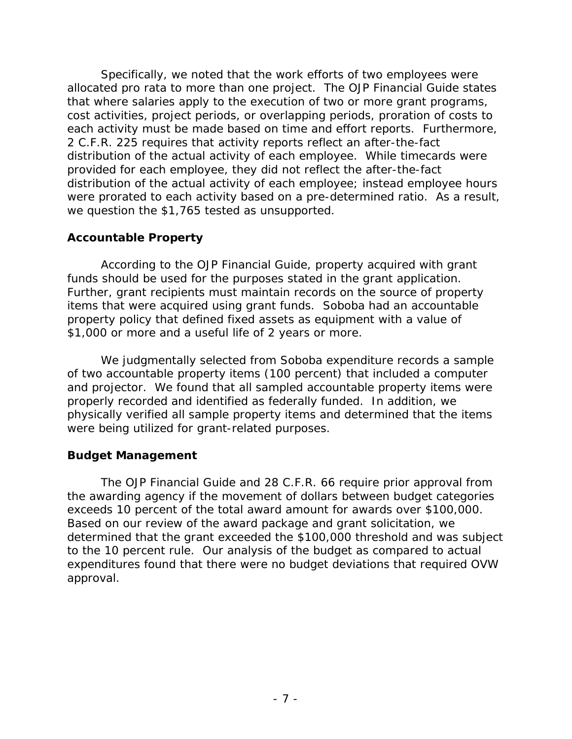Specifically, we noted that the work efforts of two employees were allocated pro rata to more than one project. The *OJP Financial Guide* states each activity must be made based on time and effort reports. Furthermore, 2 C.F.R. 225 requires that activity reports reflect an after-the-fact distribution of the actual activity of each employee. While timecards were provided for each employee, they did not reflect the after-the-fact we question the \$1,765 tested as unsupported. that where salaries apply to the execution of two or more grant programs, cost activities, project periods, or overlapping periods, proration of costs to distribution of the actual activity of each employee; instead employee hours were prorated to each activity based on a pre-determined ratio. As a result,

### <span id="page-10-0"></span>**Accountable Property**

 According to the *OJP Financial Guide*, property acquired with grant funds should be used for the purposes stated in the grant application. items that were acquired using grant funds. Soboba had an accountable \$1,000 or more and a useful life of 2 years or more. Further, grant recipients must maintain records on the source of property property policy that defined fixed assets as equipment with a value of

 of two accountable property items (100 percent) that included a computer physically verified all sample property items and determined that the items were being utilized for grant-related purposes. We judgmentally selected from Soboba expenditure records a sample and projector. We found that all sampled accountable property items were properly recorded and identified as federally funded. In addition, we

## <span id="page-10-1"></span>**Budget Management**

 The *OJP Financial Guide* and 28 C.F.R. 66 require prior approval from to the 10 percent rule. Our analysis of the budget as compared to actual expenditures found that there were no budget deviations that required OVW approval. the awarding agency if the movement of dollars between budget categories exceeds 10 percent of the total award amount for awards over \$100,000. Based on our review of the award package and grant solicitation, we determined that the grant exceeded the \$100,000 threshold and was subject approval.<br>- 7 -<br>- 7 -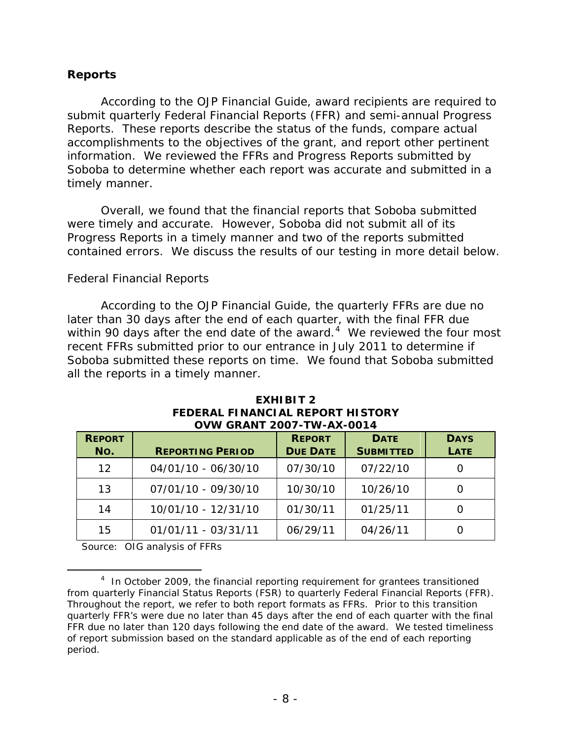## <span id="page-11-0"></span>**Reports**

 According to the *OJP Financial Guide*, award recipients are required to submit quarterly Federal Financial Reports (FFR) and semi-annual Progress Reports. These reports describe the status of the funds, compare actual accomplishments to the objectives of the grant, and report other pertinent information. We reviewed the FFRs and Progress Reports submitted by Soboba to determine whether each report was accurate and submitted in a timely manner.

 were timely and accurate. However, Soboba did not submit all of its Overall, we found that the financial reports that Soboba submitted Progress Reports in a timely manner and two of the reports submitted contained errors. We discuss the results of our testing in more detail below.

### *Federal Financial Reports*

 According to the *OJP Financial Guide*, the quarterly FFRs are due no later than 30 days after the end of each quarter, with the final FFR due within 90 days after the end date of the award.<sup>[4](#page-11-1)</sup> We reviewed the four most all the reports in a timely manner. recent FFRs submitted prior to our entrance in July 2011 to determine if Soboba submitted these reports on time. We found that Soboba submitted

| <b>REPORT</b><br>No. | <b>REPORTING PERIOD</b> | <b>REPORT</b><br><b>DUE DATE</b> | <b>DATE</b><br><b>SUBMITTED</b> | <b>DAYS</b><br><b>LATE</b> |
|----------------------|-------------------------|----------------------------------|---------------------------------|----------------------------|
| 12 <sup>1</sup>      | 04/01/10 - 06/30/10     | 07/30/10                         | 07/22/10                        |                            |
| 13                   | 07/01/10 - 09/30/10     | 10/30/10                         | 10/26/10                        |                            |
| 14                   | 10/01/10 - 12/31/10     | 01/30/11                         | 01/25/11                        |                            |
| 15                   | $01/01/11 - 03/31/11$   | 06/29/11                         | 04/26/11                        |                            |

#### **EXHIBIT 2 FEDERAL FINANCIAL REPORT HISTORY OVW GRANT 2007-TW-AX-0014**

Source: OIG analysis of FFRs

<span id="page-11-1"></span> $\overline{a}$  $4$  In October 2009, the financial reporting requirement for grantees transitioned from quarterly Financial Status Reports (FSR) to quarterly Federal Financial Reports (FFR). Throughout the report, we refer to both report formats as FFRs. Prior to this transition quarterly FFR's were due no later than 45 days after the end of each quarter with the final FFR due no later than 120 days following the end date of the award. We tested timeliness of report submission based on the standard applicable as of the end of each reporting period.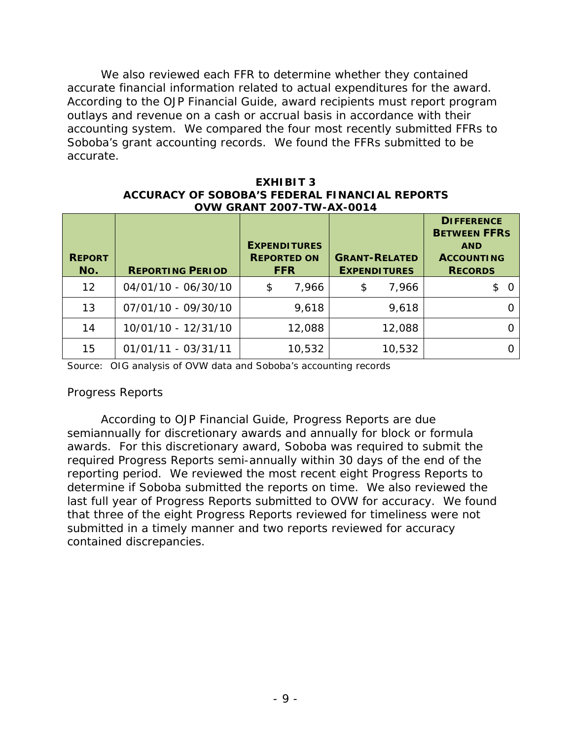According to the *OJP Financial Guide*, award recipients must report program We also reviewed each FFR to determine whether they contained accurate financial information related to actual expenditures for the award. outlays and revenue on a cash or accrual basis in accordance with their accounting system. We compared the four most recently submitted FFRs to Soboba's grant accounting records. We found the FFRs submitted to be accurate.

#### **EXHIBIT 3 ACCURACY OF SOBOBA'S FEDERAL FINANCIAL REPORTS OVW GRANT 2007-TW-AX-0014**

| <b>REPORT</b><br>No. | <b>REPORTING PERIOD</b> | <b>EXPENDITURES</b><br><b>REPORTED ON</b><br><b>FFR</b> | <b>GRANT-RELATED</b><br><b>EXPENDITURES</b> | <b>DIFFERENCE</b><br><b>BETWEEN FFRS</b><br><b>AND</b><br><b>ACCOUNTING</b><br><b>RECORDS</b> |
|----------------------|-------------------------|---------------------------------------------------------|---------------------------------------------|-----------------------------------------------------------------------------------------------|
| $12 \overline{ }$    | 04/01/10 - 06/30/10     | 7,966<br>\$                                             | 7,966<br>\$                                 | $\Omega$                                                                                      |
| 13                   | 07/01/10 - 09/30/10     | 9,618                                                   | 9,618                                       |                                                                                               |
| 14                   | 10/01/10 - 12/31/10     | 12,088                                                  | 12,088                                      |                                                                                               |
| 15                   | 01/01/11 - 03/31/11     | 10,532                                                  | 10,532                                      |                                                                                               |

Source: OIG analysis of OVW data and Soboba's accounting records

## *Progress Reports*

 awards. For this discretionary award, Soboba was required to submit the reporting period. We reviewed the most recent eight Progress Reports to determine if Soboba submitted the reports on time. We also reviewed the last full year of Progress Reports submitted to OVW for accuracy. We found submitted in a timely manner and two reports reviewed for accuracy According to *OJP Financial Guide*, Progress Reports are due semiannually for discretionary awards and annually for block or formula required Progress Reports semi-annually within 30 days of the end of the that three of the eight Progress Reports reviewed for timeliness were not contained discrepancies.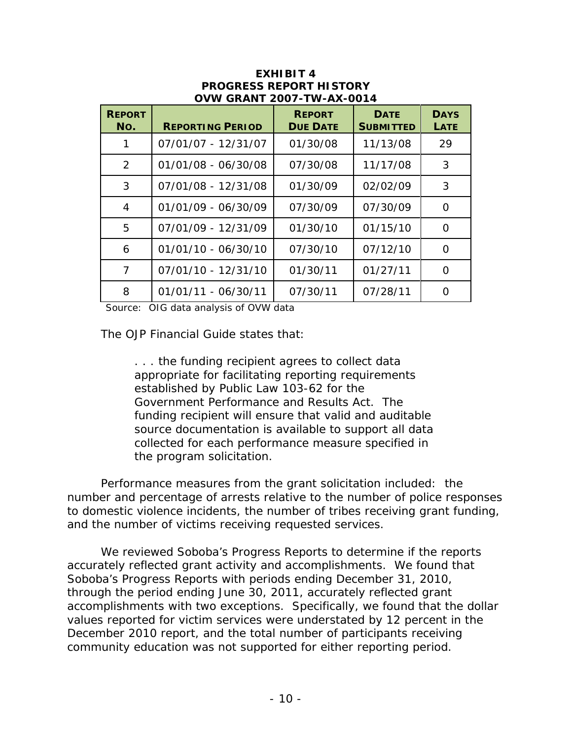| <b>REPORT</b><br>No. | <b>REPORTING PERIOD</b> | <b>REPORT</b><br><b>DUE DATE</b> | <b>DATE</b><br><b>SUBMITTED</b> | <b>DAYS</b><br>LATE |
|----------------------|-------------------------|----------------------------------|---------------------------------|---------------------|
| 1                    | 07/01/07 - 12/31/07     | 01/30/08                         | 11/13/08                        | 29                  |
| 2                    | 01/01/08 - 06/30/08     | 07/30/08                         | 11/17/08                        | 3                   |
| 3                    | 07/01/08 - 12/31/08     | 01/30/09                         | 02/02/09                        | 3                   |
| 4                    | 01/01/09 - 06/30/09     | 07/30/09                         | 07/30/09                        | $\Omega$            |
| 5                    | 07/01/09 - 12/31/09     | 01/30/10                         | 01/15/10                        | $\Omega$            |
| 6                    | 01/01/10 - 06/30/10     | 07/30/10                         | 07/12/10                        | $\Omega$            |
| 7                    | 07/01/10 - 12/31/10     | 01/30/11                         | 01/27/11                        | $\Omega$            |
| 8                    | 01/01/11 - 06/30/11     | 07/30/11                         | 07/28/11                        | ∩                   |

#### **EXHIBIT 4 PROGRESS REPORT HISTORY OVW GRANT 2007-TW-AX-0014**

Source: OIG data analysis of OVW data

The *OJP Financial Guide* states that:

 Government Performance and Results Act. The . . . the funding recipient agrees to collect data appropriate for facilitating reporting requirements established by Public Law 103-62 for the funding recipient will ensure that valid and auditable source documentation is available to support all data collected for each performance measure specified in the program solicitation.

 Performance measures from the grant solicitation included: the number and percentage of arrests relative to the number of police responses to domestic violence incidents, the number of tribes receiving grant funding, and the number of victims receiving requested services.

 We reviewed Soboba's Progress Reports to determine if the reports Soboba's Progress Reports with periods ending December 31, 2010, through the period ending June 30, 2011, accurately reflected grant accomplishments with two exceptions. Specifically, we found that the dollar values reported for victim services were understated by 12 percent in the December 2010 report, and the total number of participants receiving community education was not supported for either reporting period.<br>- 10 accurately reflected grant activity and accomplishments. We found that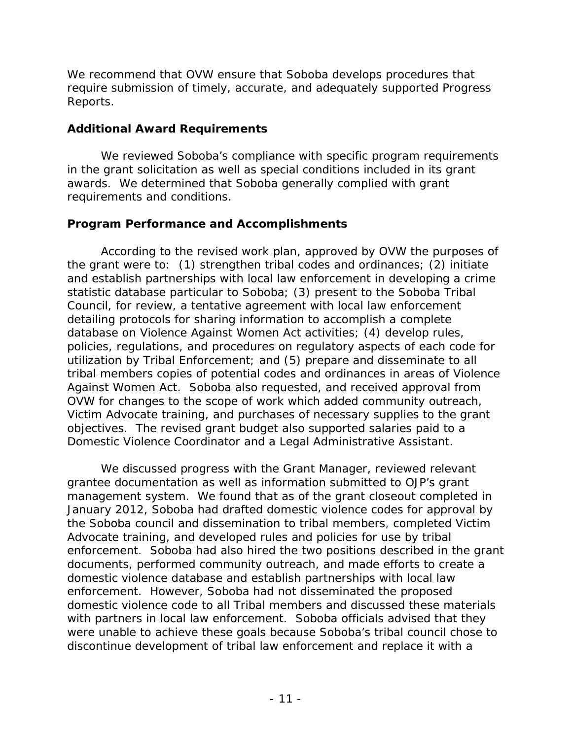Reports. We recommend that OVW ensure that Soboba develops procedures that require submission of timely, accurate, and adequately supported Progress

## <span id="page-14-0"></span> **Additional Award Requirements**

 in the grant solicitation as well as special conditions included in its grant awards. We determined that Soboba generally complied with grant We reviewed Soboba's compliance with specific program requirements requirements and conditions.

## <span id="page-14-1"></span>**Program Performance and Accomplishments**

 the grant were to: (1) strengthen tribal codes and ordinances; (2) initiate detailing protocols for sharing information to accomplish a complete Against Women Act. Soboba also requested, and received approval from According to the revised work plan, approved by OVW the purposes of and establish partnerships with local law enforcement in developing a crime statistic database particular to Soboba; (3) present to the Soboba Tribal Council, for review, a tentative agreement with local law enforcement database on Violence Against Women Act activities; (4) develop rules, policies, regulations, and procedures on regulatory aspects of each code for utilization by Tribal Enforcement; and (5) prepare and disseminate to all tribal members copies of potential codes and ordinances in areas of Violence OVW for changes to the scope of work which added community outreach, Victim Advocate training, and purchases of necessary supplies to the grant objectives. The revised grant budget also supported salaries paid to a Domestic Violence Coordinator and a Legal Administrative Assistant.

 management system. We found that as of the grant closeout completed in January 2012, Soboba had drafted domestic violence codes for approval by Advocate training, and developed rules and policies for use by tribal enforcement. Soboba had also hired the two positions described in the grant domestic violence database and establish partnerships with local law enforcement. However, Soboba had not disseminated the proposed with partners in local law enforcement. Soboba officials advised that they were unable to achieve these goals because Soboba's tribal council chose to We discussed progress with the Grant Manager, reviewed relevant grantee documentation as well as information submitted to OJP's grant the Soboba council and dissemination to tribal members, completed Victim documents, performed community outreach, and made efforts to create a domestic violence code to all Tribal members and discussed these materials discontinue development of tribal law enforcement and replace it with a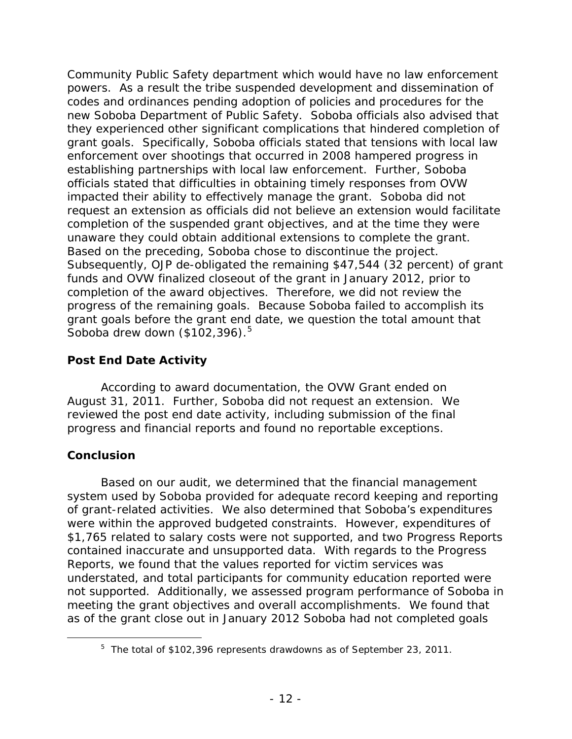powers. As a result the tribe suspended development and dissemination of new Soboba Department of Public Safety. Soboba officials also advised that grant goals. Specifically, Soboba officials stated that tensions with local law impacted their ability to effectively manage the grant. Soboba did not unaware they could obtain additional extensions to complete the grant. Based on the preceding, Soboba chose to discontinue the project. completion of the award objectives. Therefore, we did not review the progress of the remaining goals. Because Soboba failed to accomplish its Community Public Safety department which would have no law enforcement codes and ordinances pending adoption of policies and procedures for the they experienced other significant complications that hindered completion of enforcement over shootings that occurred in 2008 hampered progress in establishing partnerships with local law enforcement. Further, Soboba officials stated that difficulties in obtaining timely responses from OVW request an extension as officials did not believe an extension would facilitate completion of the suspended grant objectives, and at the time they were Subsequently, OJP de-obligated the remaining \$47,544 (32 percent) of grant funds and OVW finalized closeout of the grant in January 2012, prior to grant goals before the grant end date, we question the total amount that Soboba drew down (\$102,396).<sup>5</sup>

## <span id="page-15-0"></span> **Post End Date Activity**

 According to award documentation, the OVW Grant ended on reviewed the post end date activity, including submission of the final progress and financial reports and found no reportable exceptions. August 31, 2011. Further, Soboba did not request an extension. We

## <span id="page-15-1"></span>**Conclusion**

<span id="page-15-2"></span>-

 Based on our audit, we determined that the financial management were within the approved budgeted constraints. However, expenditures of \$1,765 related to salary costs were not supported, and two Progress Reports contained inaccurate and unsupported data. With regards to the Progress not supported. Additionally, we assessed program performance of Soboba in meeting the grant objectives and overall accomplishments. We found that as of the grant close out in January 2012 Soboba had not completed goals system used by Soboba provided for adequate record keeping and reporting of grant-related activities. We also determined that Soboba's expenditures Reports, we found that the values reported for victim services was understated, and total participants for community education reported were

 $5$  The total of \$102,396 represents drawdowns as of September 23, 2011.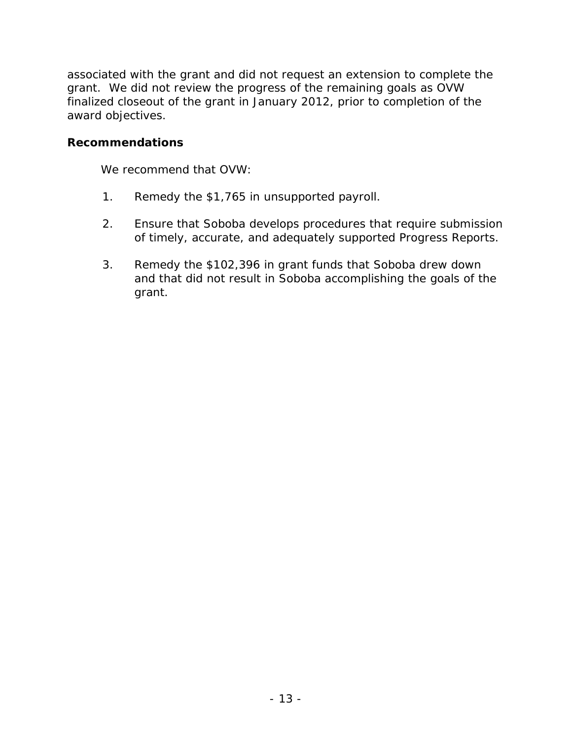associated with the grant and did not request an extension to complete the grant. We did not review the progress of the remaining goals as OVW finalized closeout of the grant in January 2012, prior to completion of the award objectives.

### <span id="page-16-0"></span> **Recommendations**

We recommend that OVW:

- 1. Remedy the \$1,765 in unsupported payroll.
- of timely, accurate, and adequately supported Progress Reports. 2. Ensure that Soboba develops procedures that require submission
- 3. Remedy the \$102,396 in grant funds that Soboba drew down and that did not result in Soboba accomplishing the goals of the grant.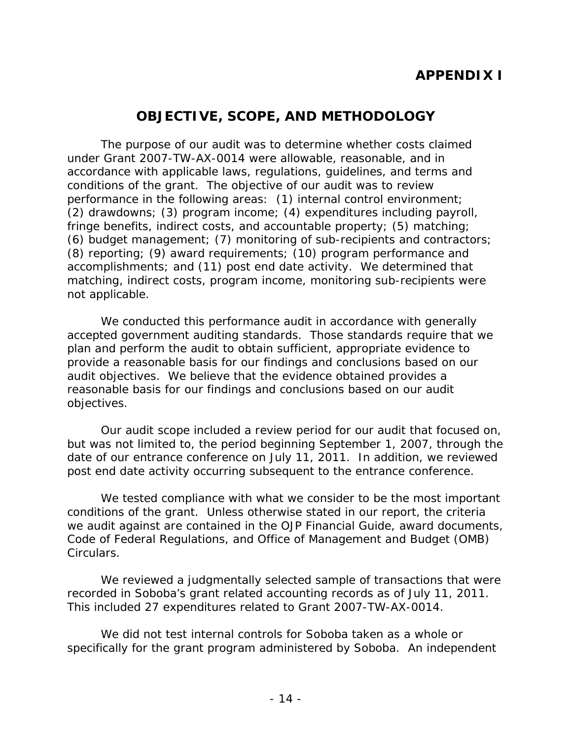# **APPENDIX I**

# **OBJECTIVE, SCOPE, AND METHODOLOGY**

<span id="page-17-0"></span> performance in the following areas: (1) internal control environment; accomplishments; and (11) post end date activity. We determined that The purpose of our audit was to determine whether costs claimed under Grant 2007-TW-AX-0014 were allowable, reasonable, and in accordance with applicable laws, regulations, guidelines, and terms and conditions of the grant. The objective of our audit was to review (2) drawdowns; (3) program income; (4) expenditures including payroll, fringe benefits, indirect costs, and accountable property; (5) matching; (6) budget management; (7) monitoring of sub-recipients and contractors; (8) reporting; (9) award requirements; (10) program performance and matching, indirect costs, program income, monitoring sub-recipients were not applicable.

 reasonable basis for our findings and conclusions based on our audit We conducted this performance audit in accordance with generally accepted government auditing standards. Those standards require that we plan and perform the audit to obtain sufficient, appropriate evidence to provide a reasonable basis for our findings and conclusions based on our audit objectives. We believe that the evidence obtained provides a objectives.

 but was not limited to, the period beginning September 1, 2007, through the date of our entrance conference on July 11, 2011. In addition, we reviewed Our audit scope included a review period for our audit that focused on, post end date activity occurring subsequent to the entrance conference.

We tested compliance with what we consider to be the most important conditions of the grant. Unless otherwise stated in our report, the criteria we audit against are contained in the *OJP Financial Guide*, award documents, Code of Federal Regulations, and Office of Management and Budget (OMB) Circulars.

 This included 27 expenditures related to Grant 2007-TW-AX-0014. We reviewed a judgmentally selected sample of transactions that were recorded in Soboba's grant related accounting records as of July 11, 2011.

 specifically for the grant program administered by Soboba. An independent We did not test internal controls for Soboba taken as a whole or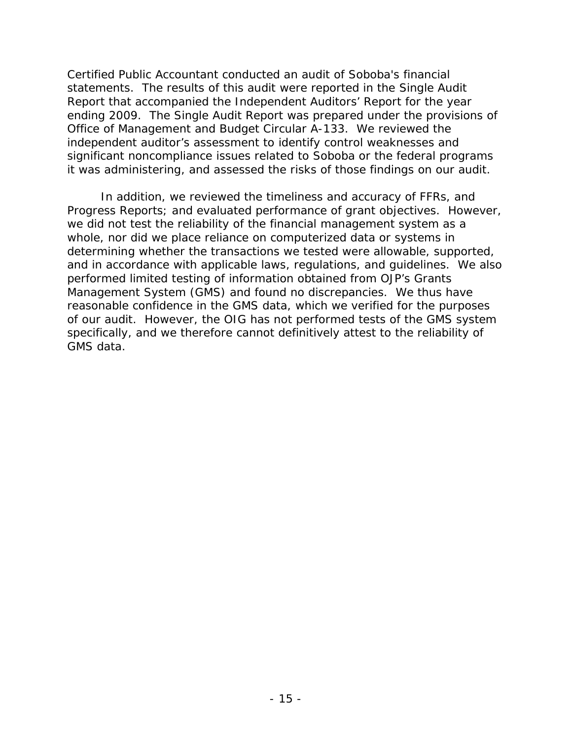significant noncompliance issues related to Soboba or the federal programs Certified Public Accountant conducted an audit of Soboba's financial statements. The results of this audit were reported in the Single Audit Report that accompanied the Independent Auditors' Report for the year ending 2009. The Single Audit Report was prepared under the provisions of Office of Management and Budget Circular A-133. We reviewed the independent auditor's assessment to identify control weaknesses and it was administering, and assessed the risks of those findings on our audit.

 In addition, we reviewed the timeliness and accuracy of FFRs, and Management System (GMS) and found no discrepancies. We thus have Progress Reports; and evaluated performance of grant objectives. However, we did not test the reliability of the financial management system as a whole, nor did we place reliance on computerized data or systems in determining whether the transactions we tested were allowable, supported, and in accordance with applicable laws, regulations, and guidelines. We also performed limited testing of information obtained from OJP's Grants reasonable confidence in the GMS data, which we verified for the purposes of our audit. However, the OIG has not performed tests of the GMS system specifically, and we therefore cannot definitively attest to the reliability of GMS data.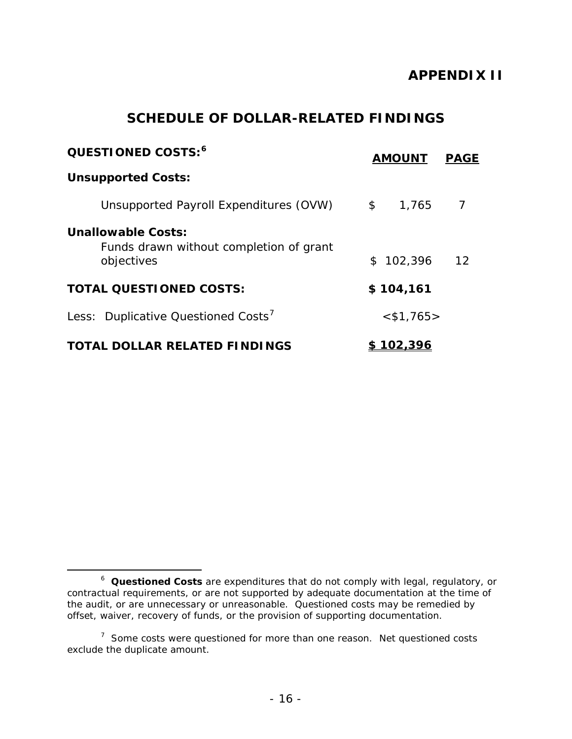# **APPENDIX II**

# **SCHEDULE OF DOLLAR-RELATED FINDINGS**

<span id="page-19-0"></span>

| QUESTIONED COSTS: <sup>6</sup>                                              |               | <b>AMOUNT</b>   | <b>PAGE</b> |
|-----------------------------------------------------------------------------|---------------|-----------------|-------------|
| <b>Unsupported Costs:</b>                                                   |               |                 |             |
| Unsupported Payroll Expenditures (OVW)                                      | $\mathsf{\$}$ | 1,765           |             |
| Unallowable Costs:<br>Funds drawn without completion of grant<br>objectives | \$            | 102,396         | 12          |
| <b>TOTAL QUESTIONED COSTS:</b>                                              |               | \$104,161       |             |
| Less: Duplicative Questioned Costs'                                         |               | $<$ \$1,765>    |             |
| <b>TOTAL DOLLAR RELATED FINDINGS</b>                                        |               | <u> 102,396</u> |             |

 $\overline{a}$ 

<span id="page-19-1"></span> <sup>6</sup>*Questioned Costs* are expenditures that do not comply with legal, regulatory, or contractual requirements, or are not supported by adequate documentation at the time of the audit, or are unnecessary or unreasonable. Questioned costs may be remedied by offset, waiver, recovery of funds, or the provision of supporting documentation.

<span id="page-19-2"></span> $7$  Some costs were questioned for more than one reason. Net questioned costs exclude the duplicate amount.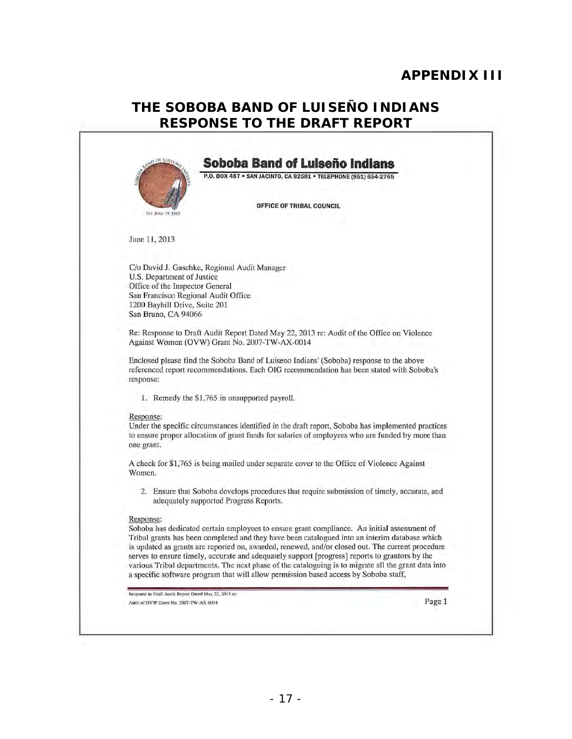# **APPENDIX III**

# THE SOBOBA BAND OF LUISEÑO INDIANS **RESPONSE TO THE DRAFT REPORT**

<span id="page-20-0"></span>

|                                                                        | P.O. BOX 487 . SAN JACINTO, CA 92581 . TELEPHONE (951) 654-2765                                                                                                                                   |
|------------------------------------------------------------------------|---------------------------------------------------------------------------------------------------------------------------------------------------------------------------------------------------|
|                                                                        | OFFICE OF TRIBAL COUNCIL                                                                                                                                                                          |
| EST. JUNE 19, 1883                                                     |                                                                                                                                                                                                   |
| June 11, 2013                                                          |                                                                                                                                                                                                   |
|                                                                        | C/o David J. Gaschke, Regional Audit Manager                                                                                                                                                      |
| U.S. Department of Justice                                             |                                                                                                                                                                                                   |
| Office of the Inspector General<br>San Francisco Regional Audit Office |                                                                                                                                                                                                   |
| 1200 Bayhill Drive, Suite 201                                          |                                                                                                                                                                                                   |
| San Bruno, CA 94066                                                    |                                                                                                                                                                                                   |
|                                                                        | Re: Response to Draft Audit Report Dated May 22, 2013 re: Audit of the Office on Violence                                                                                                         |
|                                                                        | Against Women (OVW) Grant No. 2007-TW-AX-0014                                                                                                                                                     |
|                                                                        | Enclosed please find the Soboba Band of Luiseno Indians' (Soboba) response to the above                                                                                                           |
|                                                                        | referenced report recommendations. Each OIG recommendation has been stated with Soboba's                                                                                                          |
| response:                                                              |                                                                                                                                                                                                   |
|                                                                        | 1. Remedy the \$1,765 in unsupported payroll.                                                                                                                                                     |
| Response:                                                              |                                                                                                                                                                                                   |
|                                                                        | Under the specific circumstances identified in the draft report, Soboba has implemented practices                                                                                                 |
| one grant.                                                             | to ensure proper allocation of grant funds for salaries of employees who are funded by more than                                                                                                  |
|                                                                        |                                                                                                                                                                                                   |
| Women.                                                                 | A check for \$1,765 is being mailed under separate cover to the Office of Violence Against                                                                                                        |
|                                                                        | 2. Ensure that Soboba develops procedures that require submission of timely, accurate, and<br>adequately supported Progress Reports.                                                              |
| Response:                                                              |                                                                                                                                                                                                   |
|                                                                        | Soboba has dedicated certain employees to ensure grant compliance. An initial assessment of                                                                                                       |
|                                                                        | Tribal grants has been completed and they have been catalogued into an interim database which<br>is updated as grants are reported on, awarded, renewed, and/or closed out. The current procedure |
|                                                                        | serves to ensure timely, accurate and adequately support [progress] reports to grantors by the                                                                                                    |
|                                                                        | various Tribal departments. The next phase of the cataloguing is to migrate all the grant data into                                                                                               |
|                                                                        | a specific software program that will allow permission based access by Soboba staff,                                                                                                              |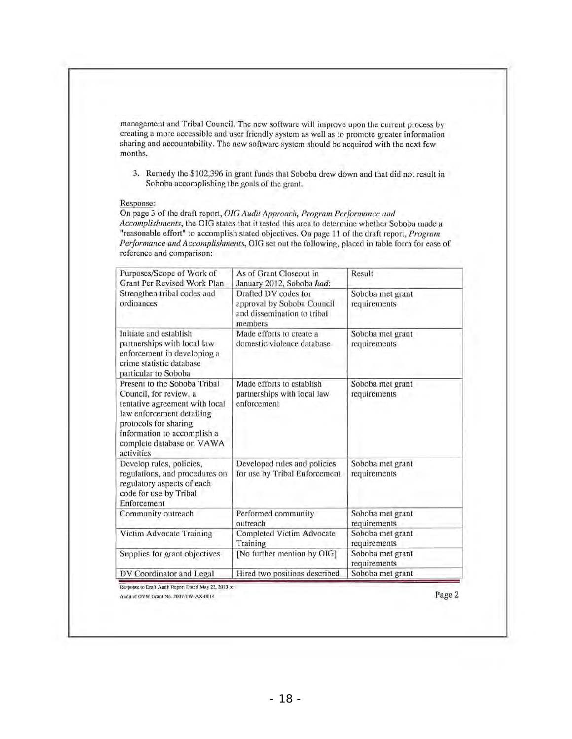management and Tribal Council. The new software will improve upon the current process by creating a more accessible and user friendly system as well as to promote greater information sharing and accountability. The new software system should be acquired with the next few mOnths.

3. Remedy the \$102,396 in grant funds that Soboba drew down and that did not result in Soboba accomplishing the goals of the grant.

#### Response:

On page 3 of the draft report, *OIG Audit Approach, Program Performance and* Accomplishments, the OIG states that it tested this area to determine whether Soboba made a "reasonable effort" to accomplish stated objectives. On page 11 of the draft report, *Program* Performance and Accomplishments, OIG set out the following, placed in table form for ease of reference and comparison:

| Purposes/Scope of Work of<br>Grant Per Revised Work Plan                                                                                                                                                                 | As of Grant Closeout in<br>January 2012, Soboba had:                                         | Result                           |
|--------------------------------------------------------------------------------------------------------------------------------------------------------------------------------------------------------------------------|----------------------------------------------------------------------------------------------|----------------------------------|
| Strengthen tribal codes and<br>ordinances                                                                                                                                                                                | Drafted DV codes for<br>approval by Soboba Council<br>and dissemination to tribal<br>members | Soboba met grant<br>requirements |
| Initiate and establish<br>partnerships with local law<br>enforcement in developing a<br>crime statistic database<br>particular to Soboba                                                                                 | Made efforts to create a<br>domestic violence database                                       | Soboba met grant<br>requirements |
| Present to the Soboba Tribal<br>Council, for review, a<br>tentative agreement with local<br>law enforcement detailing<br>protocols for sharing<br>information to accomplish a<br>complete database on VAWA<br>activities | Made efforts to establish<br>partnerships with local law<br>enforcement                      | Soboba met grant<br>requirements |
| Develop rules, policies,<br>regulations, and procedures on<br>regulatory aspects of each<br>code for use by Tribal<br>Enforcement                                                                                        | Developed rules and policies<br>for use by Tribal Enforcement                                | Soboba met grant<br>requirements |
| Community outreach                                                                                                                                                                                                       | Performed community<br>outreach                                                              | Soboba met grant<br>requirements |
| Victim Advocate Training                                                                                                                                                                                                 | Completed Victim Advocate<br>Training                                                        | Soboba met grant<br>requirements |
| Supplies for grant objectives                                                                                                                                                                                            | [No further mention by OIG]                                                                  | Soboba met grant<br>requirements |
| DV Coordinator and Legal                                                                                                                                                                                                 | Hired two positions described                                                                | Soboba met grant                 |

Response to Draft Audit Report Dated May 22, 2013 re: Audit of OVW Grant No. 2007-TW-AX-0014

Page 2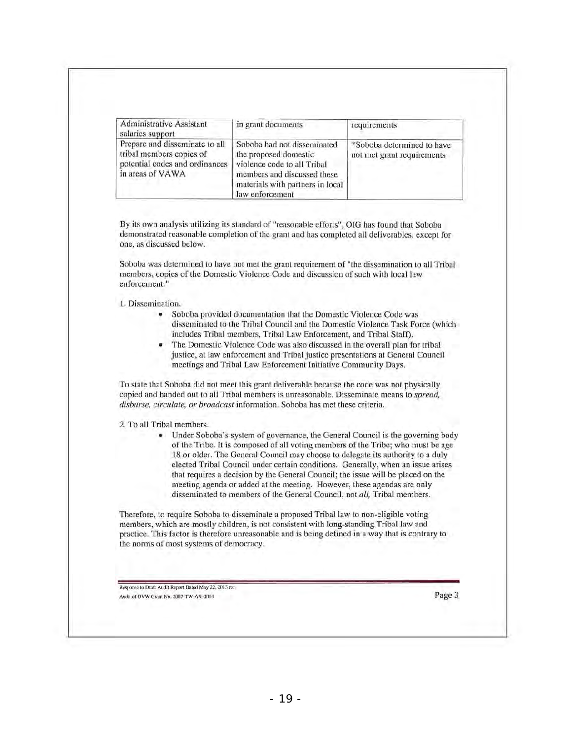| Administrative Assistant<br>salaries support                                                                     | in grant documents                                                                                                                                                        | requirements                                             |
|------------------------------------------------------------------------------------------------------------------|---------------------------------------------------------------------------------------------------------------------------------------------------------------------------|----------------------------------------------------------|
| Prepare and disseminate to all<br>tribal members copies of<br>potential codes and ordinances<br>in areas of VAWA | Soboba had not disseminated<br>the proposed domestic<br>violence code to all Tribal<br>members and discussed these<br>materials with partners in local<br>law enforcement | *Soboba determined to have<br>not met grant requirements |

By its own analysis utilizing its standard of "reasonable efforts", OIG has found that Soboba demonstrated reasonable completion of the grant and has completed all deliverables, except for one, as discussed below.

Soboba was determined to have not met the grant requirement of "the dissemination 10 all Tribal members, copies of the Domestic Violence Code and discussion of sueh with local law enforcement. "

I. Dissemination.

- Soboba provided documentation that the Domestic Violence Code was disseminated to the Tribal Council and the Domestic Violence Task Force (which includes Tribal members, Tribal Law Enforcement, and Tribal Staff).
- The Domestic Violence Code was also discussed in the overall plan for tribal justice, at law enforcement and Tribal justice presentations at General Council meetings and Tribal Law Enforcement Initiative Community Days.

To state Ihat Soboba did not meet this grant deliverable because the code was not physically copied and handed out to all Tribal members is unreasonable. Disseminate means to *spread,*  disburse, circulate, or broadcast information. Soboba has met these criteria.

2. To all Tribal members.

Under Soboba's system of governance, the General Council is the governing body of lhe Tribe. It is composed of all voting members of the Tribe; who must be age 18 or older. The General Council may choose to delegate its authority to a duly elected Tribal Council under certain conditions. Generally, when an issue arises that requires a decision by the General Council; the issue will be placed on the meeting agenda or added at the meeting. However, these agendas are only disseminated to members of the General Council, not *all,* Tribal members.

Therefore, to require Soboba to disseminate a proposed Tribal law to non-eligible voting members, which are mostly children, is not consistent with long-standing Tribal law and practice. This factor is therefore unreasonable and is being defined in a way that is contrary to the norms of most systems of democracy.

Response to Draft Audit Report Dated May 22, 2013 re: Audit of OVW Grant No. 2007-TW-AX-0014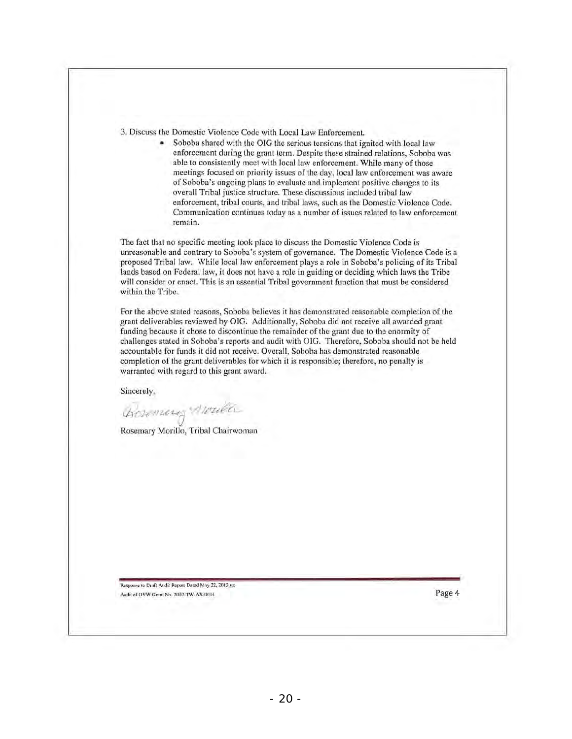3. Discuss the Domestic Violence Code with Local Law Enforcement.

Soboba shared with the OIG the serious tensions that ignited with local law enforcement during the grant term. Despite these strained relations, Soboba was able to consistently meet with local law enforcement. While many of those meetings focused on priority issues of the day, local law enforcement was aware of Soboba's ongoing plans to evaluate and implement positive changes to its overall Tribal justice structure. These discussions included tribal law enforcement, tribal courts, and tribal laws, such as the Domestic Violence Code. Communication continues today as a number of issues related to law enforcement remain.

The fact that no specific meeting took place to discuss the Domestic Violence Code is unreasonable and contrary 10 Soboba's system of governance. The Domestic Violence Code is a proposed Tribal law. While local law enforcement plays a role in Soboba's policing of its Tribal lands based on Federal law, it docs not have a role in guiding or deciding which laws the Tribc will consider or enact. This is an essential Tribal government function that must be considered within the Tribe.

For the above stated reasons, Soboba believes it has demonstrated reasonable completion of the grant deliverables reviewed by OIG. Additionally, Soboba did not receive all awarded grant funding because it chose to discontinue the remainder of the grant due to the enormity of challenges stated in Soboba's reports and audit with OIG. Therefore, Soboba should not be held accountable for funds it did not receive. Overall, Soboba has demonstrated reasonable completion of the grant deliverables for which it is responsible; therefore, no penalty is warranted with regard to this grant award.

Sincerely,

(j.,dt~?JU4-.!e *'//J£tuI?Cv* 

Rosemary Morillo, Tribal Chairwoman

Response to Draft Audit Report Dated May 22, 2013 re: Audit of OVW Grant No. 2007-TW-AX-0014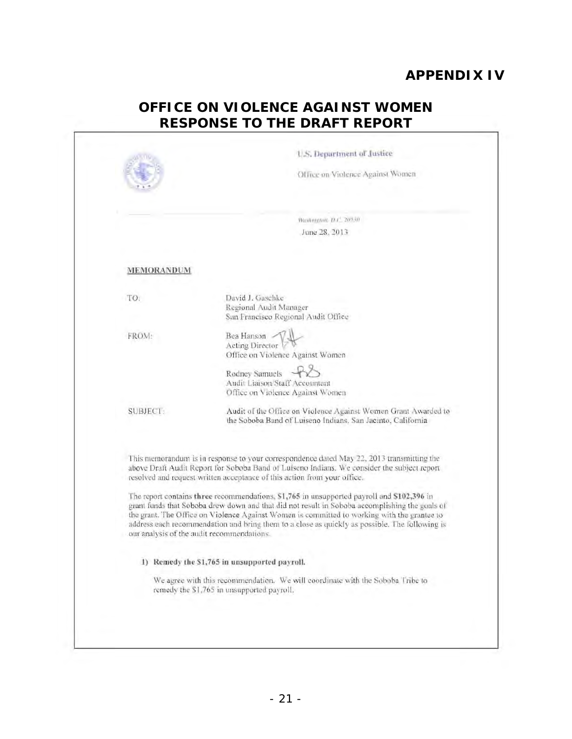# **APPENDIX IV**

# **OFFICE ON VIOLENCE AGAINST WOMEN RESPONSE TO THE DRAFT REPORT**

|                 | Office on Violence Against Women                                                                                                                                                                                                                                                                                                                                                                                                            |
|-----------------|---------------------------------------------------------------------------------------------------------------------------------------------------------------------------------------------------------------------------------------------------------------------------------------------------------------------------------------------------------------------------------------------------------------------------------------------|
|                 |                                                                                                                                                                                                                                                                                                                                                                                                                                             |
|                 | Washmeton, D.C. 20530.                                                                                                                                                                                                                                                                                                                                                                                                                      |
|                 | June 28, 2013                                                                                                                                                                                                                                                                                                                                                                                                                               |
| MEMORANDUM      |                                                                                                                                                                                                                                                                                                                                                                                                                                             |
| TO:             | David J. Gaschke<br>Regional Audit Manager<br>San Francisco Regional Audit Office                                                                                                                                                                                                                                                                                                                                                           |
| FROM:           | Bea Hanson<br>Acting Director<br>Office on Violence Against Women                                                                                                                                                                                                                                                                                                                                                                           |
|                 | Rodney Samuels<br>Audit Liaison/Staff Accountant<br>Office on Violence Against Women                                                                                                                                                                                                                                                                                                                                                        |
| <b>SUBJECT:</b> | Audit of the Office on Violence Against Women Grant Awarded to<br>the Soboba Band of Luiseno Indians, San Jacinto, California                                                                                                                                                                                                                                                                                                               |
|                 | This memorandum is in response to your correspondence dated May 22, 2013 transmitting the<br>above Draft Audit Report for Soboba Band of Luiseno Indians. We consider the subject report<br>resolved and request written acceptance of this action from your office.                                                                                                                                                                        |
|                 | The report contains three recommendations, \$1,765 in unsupported payroll and \$102,396 in<br>grant funds that Soboba drew down and that did not result in Soboba accomplishing the goals of<br>the grant. The Office on Violence Against Women is committed to working with the grantee to<br>address each recommendation and bring them to a close as quickly as possible. The following is<br>our analysis of the audit recommendations. |
|                 | 1) Remedy the \$1,765 in unsupported payroll.                                                                                                                                                                                                                                                                                                                                                                                               |
|                 | We agree with this recommendation. We will coordinate with the Soboba Tribe to<br>remedy the \$1,765 in unsupported payroll.                                                                                                                                                                                                                                                                                                                |
|                 |                                                                                                                                                                                                                                                                                                                                                                                                                                             |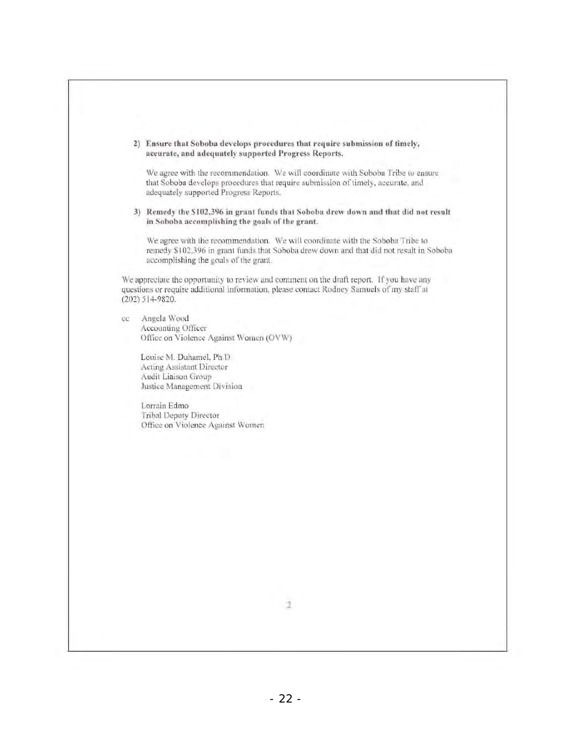|    | 2) Ensure that Soboba develops procedures that require submission of timely,<br>accurate, and adequately supported Progress Reports.                                                                              |
|----|-------------------------------------------------------------------------------------------------------------------------------------------------------------------------------------------------------------------|
|    | We agree with the recommendation. We will coordinate with Soboba Tribe to ensure<br>that Soboba develops procedures that require submission of timely, accurate, and<br>adequately supported Progress Reports.    |
|    | 3) Remedy the \$102,396 in grant funds that Soboba drew down and that did not result<br>in Soboba accomplishing the goals of the grant.                                                                           |
|    | We agree with the recommendation. We will coordinate with the Soboba Tribe to<br>remedy \$102,396 in grant funds that Soboba drew down and that did not result in Soboba<br>accomplishing the goals of the grant. |
|    | We appreciate the opportunity to review and comment on the draft report. If you have any<br>questions or require additional information, please contact Rodney Samuels of my staff at<br>$(202)$ 514-9820.        |
| cc | Angela Wood                                                                                                                                                                                                       |
|    | Accounting Officer<br>Office on Violence Against Women (OVW)                                                                                                                                                      |
|    |                                                                                                                                                                                                                   |
|    | Louise M. Duhamel, Ph.D.<br>Acting Assistant Director                                                                                                                                                             |
|    | Audit Liaison Group                                                                                                                                                                                               |
|    | Justice Management Division                                                                                                                                                                                       |
|    | Lorrain Edmo                                                                                                                                                                                                      |
|    | Tribal Deputy Director                                                                                                                                                                                            |
|    | Office on Violence Against Women                                                                                                                                                                                  |
|    |                                                                                                                                                                                                                   |
|    |                                                                                                                                                                                                                   |
|    |                                                                                                                                                                                                                   |
|    |                                                                                                                                                                                                                   |
|    |                                                                                                                                                                                                                   |
|    |                                                                                                                                                                                                                   |
|    |                                                                                                                                                                                                                   |
|    |                                                                                                                                                                                                                   |
|    |                                                                                                                                                                                                                   |
|    |                                                                                                                                                                                                                   |
|    |                                                                                                                                                                                                                   |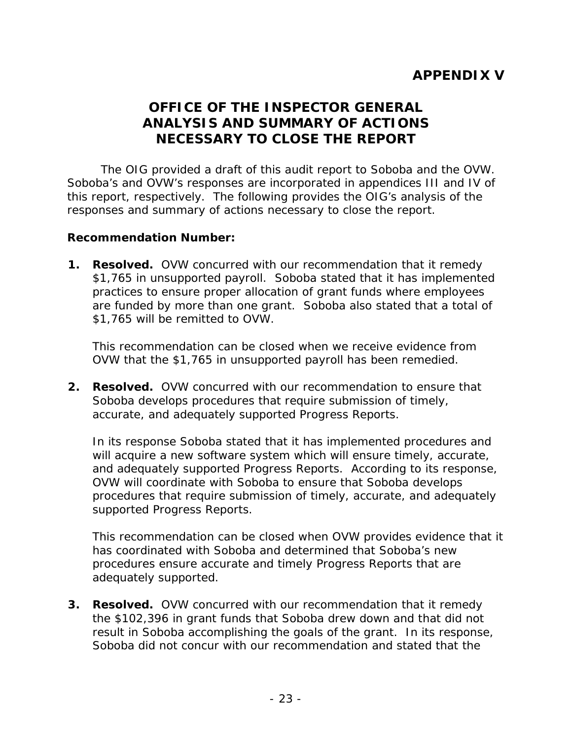# **ANALYSIS AND SUMMARY OF ACTIONS OFFICE OF THE INSPECTOR GENERAL NECESSARY TO CLOSE THE REPORT**

<span id="page-26-0"></span>The OIG provided a draft of this audit report to Soboba and the OVW. Soboba's and OVW's responses are incorporated in appendices III and IV of this report, respectively. The following provides the OIG's analysis of the responses and summary of actions necessary to close the report.

### **Recommendation Number:**

**1. Resolved.** OVW concurred with our recommendation that it remedy \$1,765 in unsupported payroll. Soboba stated that it has implemented practices to ensure proper allocation of grant funds where employees are funded by more than one grant. Soboba also stated that a total of \$1,765 will be remitted to OVW.

This recommendation can be closed when we receive evidence from OVW that the \$1,765 in unsupported payroll has been remedied.

 **2. Resolved.** OVW concurred with our recommendation to ensure that Soboba develops procedures that require submission of timely, accurate, and adequately supported Progress Reports.

In its response Soboba stated that it has implemented procedures and will acquire a new software system which will ensure timely, accurate, and adequately supported Progress Reports. According to its response, OVW will coordinate with Soboba to ensure that Soboba develops procedures that require submission of timely, accurate, and adequately supported Progress Reports.

 procedures ensure accurate and timely Progress Reports that are This recommendation can be closed when OVW provides evidence that it has coordinated with Soboba and determined that Soboba's new adequately supported.

**3. Resolved.** OVW concurred with our recommendation that it remedy the \$102,396 in grant funds that Soboba drew down and that did not result in Soboba accomplishing the goals of the grant. In its response, Soboba did not concur with our recommendation and stated that the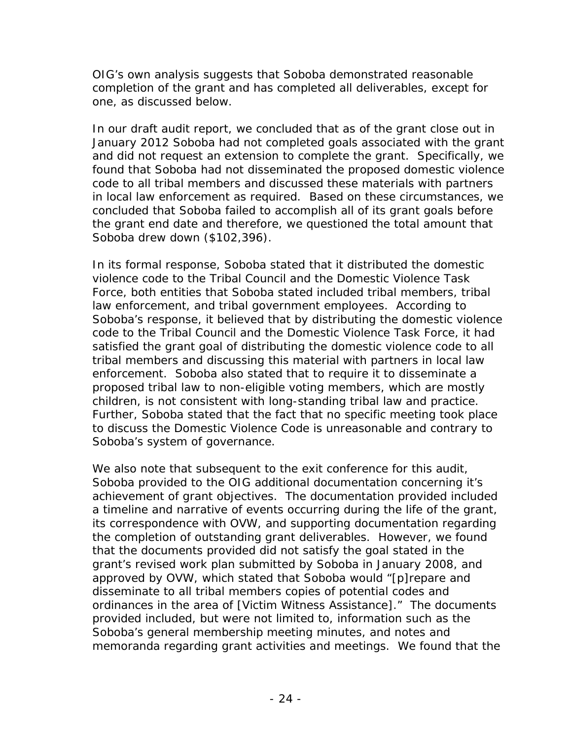completion of the grant and has completed all deliverables, except for OIG's own analysis suggests that Soboba demonstrated reasonable one, as discussed below.

 and did not request an extension to complete the grant. Specifically, we the grant end date and therefore, we questioned the total amount that In our draft audit report, we concluded that as of the grant close out in January 2012 Soboba had not completed goals associated with the grant found that Soboba had not disseminated the proposed domestic violence code to all tribal members and discussed these materials with partners in local law enforcement as required. Based on these circumstances, we concluded that Soboba failed to accomplish all of its grant goals before Soboba drew down (\$102,396).

 tribal members and discussing this material with partners in local law enforcement. Soboba also stated that to require it to disseminate a children, is not consistent with long-standing tribal law and practice. In its formal response, Soboba stated that it distributed the domestic violence code to the Tribal Council and the Domestic Violence Task Force, both entities that Soboba stated included tribal members, tribal law enforcement, and tribal government employees. According to Soboba's response, it believed that by distributing the domestic violence code to the Tribal Council and the Domestic Violence Task Force, it had satisfied the grant goal of distributing the domestic violence code to all proposed tribal law to non-eligible voting members, which are mostly Further, Soboba stated that the fact that no specific meeting took place. to discuss the Domestic Violence Code is unreasonable and contrary to Soboba's system of governance.

 disseminate to all tribal members copies of potential codes and memoranda regarding grant activities and meetings. We found that the We also note that subsequent to the exit conference for this audit, Soboba provided to the OIG additional documentation concerning it's achievement of grant objectives. The documentation provided included a timeline and narrative of events occurring during the life of the grant, its correspondence with OVW, and supporting documentation regarding the completion of outstanding grant deliverables. However, we found that the documents provided did not satisfy the goal stated in the grant's revised work plan submitted by Soboba in January 2008, and approved by OVW, which stated that Soboba would "[p]repare and ordinances in the area of [Victim Witness Assistance]." The documents provided included, but were not limited to, information such as the Soboba's general membership meeting minutes, and notes and